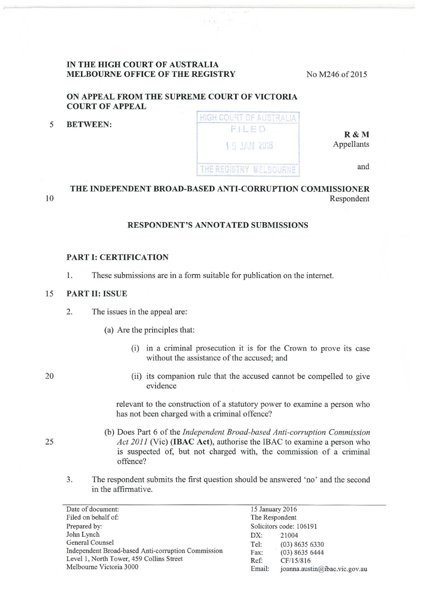#### **IN THE HIGH COURT OF AUSTRALIA MELBOURNE OFFICE OF THE REGISTRY**

No M246 of 2015

## **ON APPEAL FROM THE SUPREME COURT OF VICTORIA COURT OF APPEAL**

5 **BETWEEN:** 

HIGH COURT OF AUSTRALIA FILED **1 5 JAN 2016** THE REGISTRY MELBOURNE

Appellants

**R&M** 

and

# **THE INDEPENDENT BROAD-BASED ANTI-CORRUPTION COMMISSIONER**  Respondent

### **RESPONDENT'S ANNOTATED SUBMISSIONS**

#### **PART I: CERTIFICATION**

1. These submissions are in a fonn suitable for publication on the internet.

#### 15 **PART II: ISSUE**

- 2. The issues in the appeal are:
	- (a) Are the principles that:
		- (i) in a criminal prosecution it is for the Crown to prove its case without the assistance of the accused; and

20

10

(ii) its companion rule that the accused cannot be compelled to give evidence

relevant to the construction of a statutory power to examine a person who has not been charged with a criminal offence?

- (b) Does Part 6 of the *Independent Broad-based Anti-corruption Commission Act 2011* (Vic) **(IBAC Act),** authorise the IBAC to examine a person who is suspected of, but not charged with, the commission of a criminal offence?
- 3. The respondent submits the first question should be answered 'no' and the second in the affirmative.

Date of document: 15 January 2016 Filed on behalf of: Prepared by: John Lynch General Counsel Independent Broad-based Anti-corruption Commission Level 1, North Tower, 459 Collins Street Melbourne Victoria 3000 The Respondent Solicitors code: 106191 DX: 21004 Tel: (03) 8635 6330 Fax: (03) 8635 6444 Ref: CF/15/816 Email: joanna.austin@ibac. vic.gov.au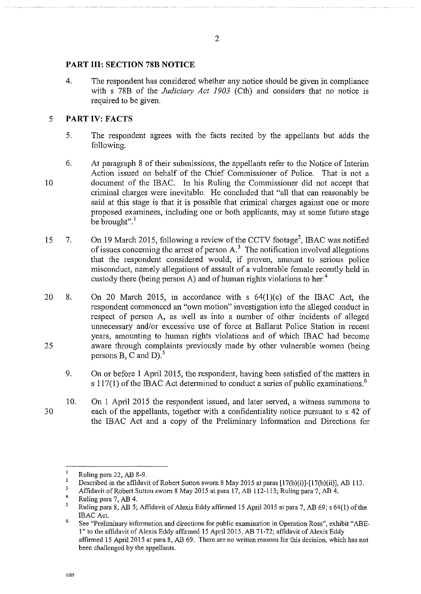## **PART III: SECTION 78B NOTICE**

4. The respondent has considered whether any notice should be given in compliance with s 78B of the *Judiciary Act 1903* (Cth) and considers that no notice is required to be given.

## 5 **PART IV: FACTS**

- 5. The respondent agrees with the facts recited by the appellants but adds the following.
- 10 6. At paragraph 8 of their submissions, the appellants refer to the Notice of Interim Action issued on behalf of the Chief Commissioner of Police. That is not a document of the IBAC. In his Ruling the Commissioner did not accept that criminal charges were inevitable. He concluded that "all that can reasonably be said at this stage is that it is possible that criminal charges against one or more proposed examinees, including one or both applicants, may at some future stage be brought". $\frac{1}{1}$
- 15 7. On 19 March 2015, following a review of the CCTV footage<sup>2</sup>, IBAC was notified of issues concerning the arrest of person  $A<sup>3</sup>$ . The notification involved allegations that the respondent considered would, if proven, amount to serious police misconduct, namely allegations of assault of a vulnerable female recently held in custody there (being person A) and of human rights violations to her.<sup>4</sup>
- 20 25 8. On 20 March 2015, in accordance with s 64(l)(c) of the IBAC Act, the respondent commenced an "own motion" investigation into the alleged conduct in respect of person A, as well as into a number of other incidents of alleged unnecessary and/or excessive use of force at Ballarat Police Station in recent years, amounting to human rights violations and of which IBAC had become aware through complaints previously made by other vulnerable women (being persons B, C and D).<sup>5</sup>
	- 9. On or before 1 April 2015, the respondent, having been satisfied of the matters in s 117(1) of the IBAC Act determined to conduct a series of public examinations.<sup>6</sup>

10. On I April 2015 the respondent issued, and later served, a witness summons to each of the appellants, together with a confidentiality notice pursuant to s 42 of the IBAC Act and a copy of the Preliminary Infonnation and Directions for

**1589** 

 $\mathbf{I}$ Ruling para 22, AB 8-9.

<sup>2</sup>  Described in the affidavit of Robert Sutton sworn 8 May 2015 at paras [17(b)(i)]-[17(b)(ii)], AB 113.

 $\mathfrak z$ Affidavit of Robert Sutton sworn 8 May 2015 at para 17, AB 112-113; Ruling para 7, AB 4.

<sup>4</sup>  Ruling para 7, AB 4.

<sup>5</sup> Ruling para 8, AB 5; Affidavit of Alexis Eddy affirmed 15 April2015 at para 7, AB 69; s 64(1) of the IBAC Act.

G **See "Preliminary information and directions for public examination in Operation Ross'', exhibit "ABE**l" to the affidavit of Alexis Eddy affirmed 15 April2015, AB 71-72; affidavit of Alexis Eddy affirmed 15 April2015 at para 8, AB 69. There are no written reasons for this decision, which has not been challenged by the appellants.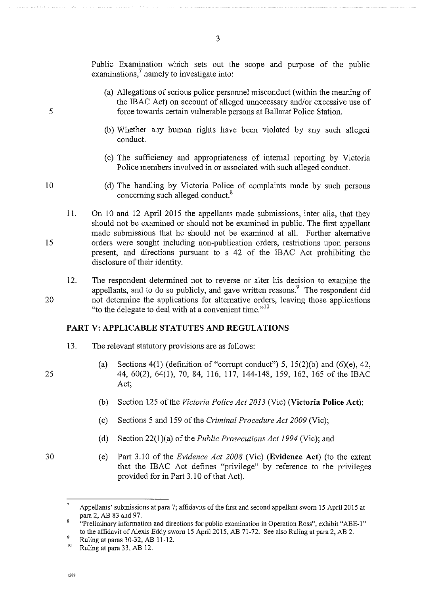Public Examination which sets out the scope and purpose of the public examinations,<sup>7</sup> namely to investigate into:

- (a) Allegations of serious police persmmel misconduct (within the meaning of the IBAC Act) on account of alleged unnecessary and/or excessive use of force towards certain vulnerable persons at Ballarat Police Station.
- (b) Whether any human rights have been violated by any such alleged conduct.
- (c) The sufficiency and appropriateness of internal reporting by Victoria Police members involved in or associated with such alleged conduct.
- (d) The handling by Victoria Police of complaints made by such persons concerning such alleged conduct. 8
- 15 II. On 10 and 12 April 2015 the appellants made submissions, inter alia, that they should not be examined or should not be examined in public. The first appellant made submissions that he should not be examined at all. Further alternative orders were sought including non-publication orders, restrictions upon persons present, and directions pursuant to s 42 of the IBAC Act prohibiting the disclosure of their identity.
	- 12. The respondent detennined not to reverse or alter his decision to examine the appellants, and to do so publicly, and gave written reasons.<sup>9</sup> The respondent did not detennine the applications for alternative orders, leaving those applications "to the delegate to deal with at a convenient time."<sup>10</sup>

## **PART V: APPLICABLE STATUTES AND REGULATIONS**

- 13. The relevant statutory provisions are as follows:
	- (a) Sections  $4(1)$  (definition of "corrupt conduct") 5, 15(2)(b) and (6)(e), 42, 44, 60(2), 64(1), 70, 84, 116, 117, 144-148, 159, 162, 165 of the IBAC Act;
	- (b) Section 125 of the *Victoria Police Act 2013* (Vic) **(Victoria Police Act);**
	- (c) Sections 5 and 159 of the *Criminal Procedure Act 2009* (Vic);
	- (d) Section 22(l)(a) of the *Public Prosecutions Act 1994* (Vic); and
	- (e) Part 3.10 of the *Evidence Act 2008* (Vic) **(Evidence Act)** (to the extent that the IBAC Act defines "privilege" by reference to the privileges provided for in Part 3.10 of that Act).

20

5

10

30

<sup>7</sup> Appellants' submissions at para 7; affidavits of the first and second appellant sworn 15 April2015 at para 2, AB 83 and 97.

 $\boldsymbol{S}$ **"Preliminary information and directions for public examination in Operation Ross", exhibit "ABE-I"**  to the affidavit of Alexis Eddy sworn 15 April 2015, AB 71-72. See also Ruling at para 2, AB 2.<br><sup>9</sup> Ruling at paras 30-32, AB 11-12.<br><sup>10</sup> Buling at para 23, AB 12.

Ruling at para 33, AB 12.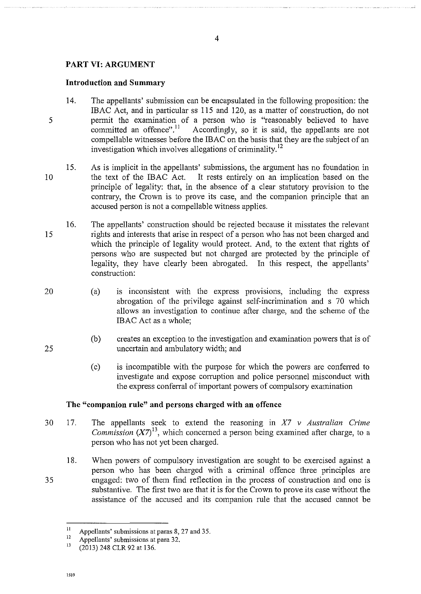## **PART VI: ARGUMENT**

### **Introduction and Summary**

- 5 14. The appellants' submission can be encapsulated in the following proposition: the IBAC Act, and in particular ss 115 and 120, as a matter of construction, do not permit the examination of a person who is "reasonably believed to have committed an offence".<sup>11</sup> Accordingly, so it is said, the appellants are not Accordingly, so it is said, the appellants are not compellable witnesses before the IBAC on the basis that they are the subject of an investigation which involves allegations of criminality. <sup>12</sup>
- 10 15. As is implicit in the appellants' submissions, the argument has no foundation in the text of the IBAC Act. It rests entirely on an implication based on the principle of legality: that, in the absence of a clear statutory provision to the contrary, the Crown is to prove its case, and the companion principle that an accused person is not a compellable witness applies.
- 15 16. The appellants' construction should be rejected because it misstates the relevant tights and interests that arise in respect of a person who has not been charged and which the principle of legality would protect. And, to the extent that rights of persons who are suspected but not charged are protected by the principle of legality, they have clearly been abrogated. In this respect, the appellants' construction:
- 20 (a) is inconsistent with the express provisions, including the express abrogation of the privilege against self-incrimination and s 70 which allows an investigation to continue after charge, and the scheme of the IBAC Act as a whole;
	- (b) creates an exception to the investigation and examination powers that is of uncertain and ambulatory width; and
	- (c) is incompatible with the purpose for which the powers are conferred to investigate and expose corruption and police personnel misconduct with the express conferral of important powers of compulsory examination

### **The "companion rule" and persons charged with an offence**

- 30 17. The appellants seek to extend the reasoning in *X7 v Australian Crime Commission*  $(X7)^{13}$ , which concerned a person being examined after charge, to a person who has not yet been charged.
	- 18. When powers of compulsory investigation are sought to be exercised against a person who has been charged with a criminal offence three principles are engaged: two of them find reflection in the process of construction and one is substantive. The first two are that it is for the Crown to prove its case without the assistance of the accused and its companion rule that the accused cannot be

25

<sup>&</sup>lt;sup>11</sup> Appellants' submissions at paras 8, 27 and 35.<br>
Appellants' submissions at para 32.<br>
<sup>13</sup> (2012) 248 CLB 02 at 126

<sup>(2013) 248</sup> CLR 92 at 136.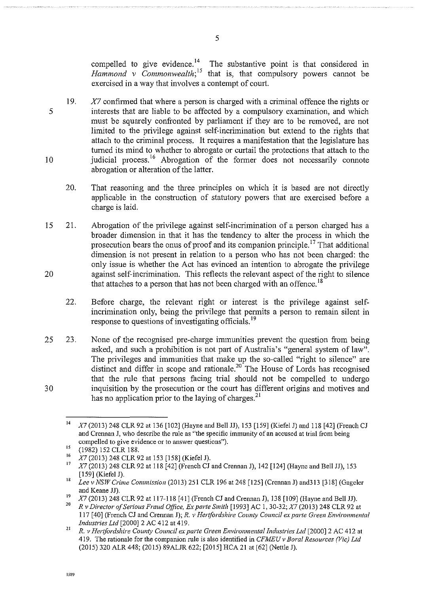compelled to give evidence.<sup>14</sup> The substantive point is that considered in *Hammond v Commonwealth*;<sup>15</sup> that is, that compulsory powers cannot be exercised in a way that involves a contempt of court.

- 5 10 19.  $X<sub>7</sub>$  confirmed that where a person is charged with a criminal offence the rights or interests that are liable to be affected by a compulsory examination, and which must be squarely confronted by parliament if they are to be removed, are not limited to the privilege against self-incrimination but extend to the rights that attach to the criminal process. It requires a manifestation that the legislature has turned its mind to whether to abrogate or curtail the protections that attach to the judicial process.<sup>16</sup> Abrogation of the former does not necessarily connote abrogation or alteration of the latter.
	- 20. That reasoning and the three principles on which it is based are not directly applicable in the construction of statutory powers that are exercised before a charge is laid.
- 15 20 21. Abrogation of the privilege against self-incrimination of a person charged has a broader dimension in that it has the tendency to alter the process in which the prosecution bears the onus of proof and its companion principle. 17 That additional dimension is not present in relation to a person who has not been charged: the only issue is whether the Act has evinced an intention to abrogate the privilege against self-incrimination. This reflects the relevant aspect of the right to silence that attaches to a person that has not been charged with an offence.<sup>18</sup>
	- 22. Before charge, the relevant right or interest is the privilege against selfincrimination only, being the privilege that pennits a person to remain silent in response to questions of investigating officials.<sup>19</sup>
- 25 30 23. None of the recognised pre-charge immunities prevent the question from being asked, and such a prohibition is not part of Australia's "general system of law". The privileges and immunities that make up the so-called "right to silence" are distinct and differ in scope and rationale.<sup>20</sup> The House of Lords has recognised that the rule that persons facing trial should not be compelled to undergo inquisition by the prosecution or the court has different origins and motives and has no application prior to the laying of charges.<sup>21</sup>

<sup>14</sup>*X7* (2013) 248 CLR 92 at 136 [102] (Hayne and Bell JJ), !53 [!59] (Kiefel J) and 118 [42] (French CJ **and Crennan J, who describe the rule as "the specific immunity of an accused at trial from being compelled to give evidence or to answer questions").** 

<sup>15 (1982) 152</sup> CLR 188.<br>
16 *X7* (2013) 248 CLR 92 at 153 [158] (Kiefel J).<br>
17 *X7* (2013) 248 CLR 92 at 118 [42] (French CJ and Crennan J), 142 [124] (Hayne and Bell JJ), 153 [!59] (Kiefel J). 18 *Lee v NSW Crime Commission* (2013) 251 CLR 196 at 248 [125] (Crennan J) and313 [318] (Gageler

and Keane JJ).

<sup>&</sup>lt;sup>19</sup> X7 (2013) 248 CLR 92 at 117-118 [41] (French CJ and Crennan J), 138 [109] (Hayne and Bell JJ).<br><sup>20</sup> B. Diverter of Saviette French Office, French Smith 110031 A.C. 1, 20, 23, N7 (2013) 248 CLB 03,

<sup>20</sup>*R v Director of Serious Fraud Office, Ex parte Smith* [1993] AC I, 30-32; *X7* (2013) 248 CLR 92 at 117 [40] (French CJ and Crennan J); *R. v Hertfordshire County Council ex parte Green Environmental Industries Ltd* [2000] 2 AC 412 at 419.

<sup>&</sup>lt;sup>21</sup> R. *v Hertfordshire County Council ex parte Green Environmental Industries Ltd* [2000] 2 AC 412 at 419. The rationale for the companion rule is also identified in *CFMEU v Bora/ Resources (Vic) Ltd*  (2015) 320 ALR 448; (2015) 89ALJR 622; [2015] HCA 21 at [62] (Nettle J).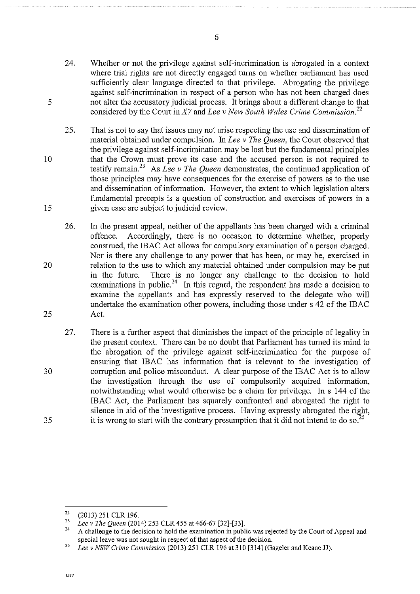- 24. Whether or not the privilege against self-incrimination is abrogated in a context where trial rights are not directly engaged turns on whether parliament has used sufficiently clear language directed to that privilege. Abrogating the privilege against self-incrimination in respect of a person who has not been charged does not alter the accusatory judicial process. It brings about a different change to that considered by the Court inX7 and *Lee v New South Wales Crime Commission. <sup>22</sup>*
- 25. That is not to say that issues may not arise respecting the use and dissemination of material obtained under compulsion. In *Lee v The Queen,* the Court observed that the privilege against self-incrimination may be lost but the fundamental principles that the Crown must prove its case and the accused person is not required to testify remain.<sup>23</sup> As *Lee v The Oueen* demonstrates, the continued application of those principles may have consequences for the exercise of powers as to the use and dissemination of information. However, the extent to which legislation alters fundamental precepts is a question of construction and exercises of powers in a given case are subject to judicial review.
- 26. In the present appeal, neither of the appellants has been charged with a criminal offence. Accordingly, there is no occasion to detennine whether, properly construed, the IBAC Act allows for compulsory examination of a person charged. Nor is there any challenge to any power that has been, or may be, exercised in relation to the use to which any material obtained under compulsion may be put in the future. There is no longer any challenge to the decision to hold examinations in public.<sup>24</sup> In this regard, the respondent has made a decision to examine the appellants and has expressly reserved to the delegate who will undertake the examination other powers, including those under s 42 of the IBAC Act.
- 27. There is a further aspect that diminishes the impact of the principle of legality in the present context. There can be no doubt that Parliament has turned its mind to the abrogation of the privilege against self-incrimination for the purpose of ensuring that IBAC has infonnation that is relevant to the investigation of corruption and police misconduct. A clear purpose of the IBAC Act is to allow the investigation through the use of compulsorily acquired infonnation, notwithstanding what would otherwise be a claim for privilege. In s 144 of the IBAC Act, the Parliament has squarely confronted and abrogated the right to silence in aid of the investigative process. Having expressly abrogated the right, it is wrong to start with the contrary presumption that it did not intend to do so.<sup>25</sup>

25

20

5

10

15

30

 $\frac{22}{23}$  (2013) 251 CLR 196.

<sup>23</sup>*Lee v The Queen* (2014) 253 CLR 455 at 466-67 [32]-(33].

<sup>24</sup> A challenge to the decision to hold the examination in public was rejected by the Court of Appeal and special leave was not sought in respect of that aspect of the decision.

<sup>25</sup>*Lee vNSWCrime Commission* (2013) 251 CLR 196 at310 (314] (Gagelerand Keane JJ).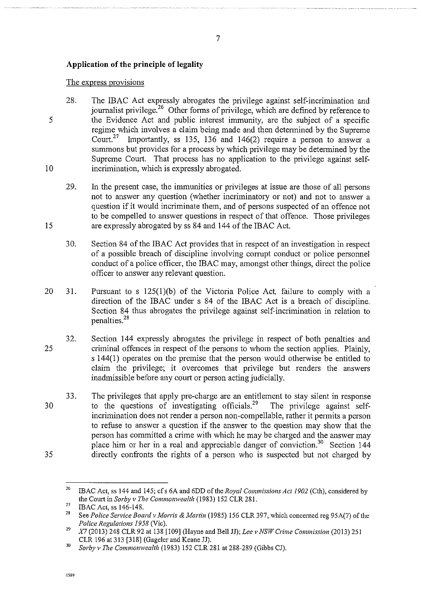## **Application of the principle of legality**

#### The express provisions

5 10 28. The IBAC Act expressly abrogates the privilege against self-incrimination and journalist privilege.<sup>26</sup> Other forms of privilege, which are defined by reference to the Evidence Act and public interest immunity, are the subject of a specific regime which involves a claim being made and then detennined by the Supreme Court.<sup>27</sup> Importantly, ss 135, 136 and 146(2) require a person to answer a summons but provides for a process by which privilege may be detennined by the Supreme Court. That process has no application to the privilege against selfincrimination, which is expressly abrogated.

7

- 29. In the present case, the immunities or privileges at issue are those of all persons not to answer any question (whether incriminatory or not) and not to answer a question if it would incriminate them, and of persons suspected of an offence not to be compelled to answer questions in respect of that offence. Those privileges are expressly abrogated by ss 84 and 144 of the IBAC Act.
- 30. Section 84 of the IBAC Act provides that in respect of an investigation in respect of a possible breach of discipline involving corrupt conduct or police personnel conduct of a police officer, the IBAC may, amongst other things, direct the police officer to answer any relevant question.
- 20 31. Pursuant to s 125(1)(b) of the Victoria Police Act, failure to comply with a direction of the IBAC under s 84 of the IBAC Act is a breach of discipline. Section 84 thus abrogates the privilege against self-incrimination in relation to penalties. 28
- 25 32. Section 144 expressly abrogates the privilege in respect of both penalties and criminal offences in respect of the persons to whom the section applies. Plainly, s 144(1) operates on the premise that the person would otherwise be entitled to claim the privilege; it overcomes that privilege but renders the answers inadmissible before any court or person acting judicially.
- 30 35 33. The privileges that apply pre-charge are an entitlement to stay silent in response to the questions of investigating officials.<sup>29</sup> The privilege against selfincrimination does not render a person non-compellable, rather it permits a person to refuse to answer a question if the answer to the question may show that the person has committed a crime with which he may be charged and the answer may place him or her in a real and appreciable danger of conviction.<sup>30</sup> Section 144 directly confronts the rights of a person who is suspected but not charged by

<sup>26</sup>  IBAC Act, ss 144 and 145; cf s 6A and 6DD of the *Royal Commissions Act 1902* (Cth), considered by the Court in *Sorby v The Commonwealth* (1983) 152 CLR 281.

<sup>27</sup>  IBAC Act, ss 146-148.

<sup>28</sup>  See *Police Service Board v Morris* & *Martin* (1985) 156 CLR 397, which concemed reg 95A(7) of the *Police Regulations 1958* (Vic).

<sup>29</sup>*X7* (2013) 248 CLR 92 at 138 [109] (Hayne and Bell JJ); *Lee v NSW Crime Commission* (2013) 251 CLR 196 at 313 [318] (Gageler and Keane JJ).

<sup>30</sup>*Sorby v The Commonwealth* (1983) 152 CLR 281 at 288-289 (Gibbs CJ).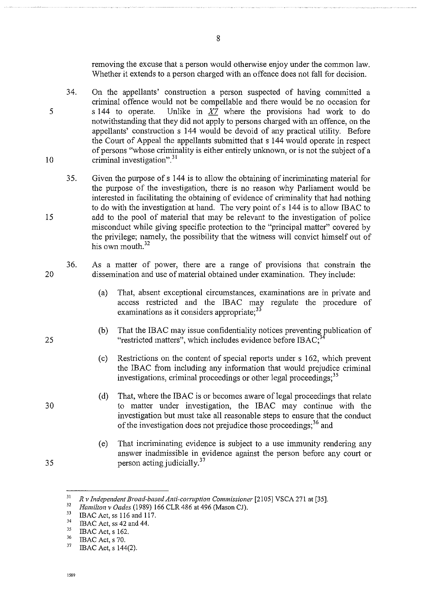removing the excuse that a person would otherwise enjoy under the common law. Whether it extends to a person charged with an offence does not fall for decision.

- 34. On the appellants' construction a person suspected of having committed a criminal offence would not be compellable and there would be no occasion for s 144 to operate. Unlike in  $X7$  where the provisions had work to do notwithstanding that they did not apply to persons charged with an offence, on the appellants' construction s 144 would be devoid of any practical utility. Before the Court of Appeal the appellants submitted that s 144 would operate in respect of persons "whose criminality is either entirely unknown, or is not the subject of a criminal investigation". 31
- 35. Given the purpose of s I 44 is to allow the obtaining of incriminating matetial for the purpose of the investigation, there is no reason why Parliament would be interested in facilitating the obtaining of evidence of criminality that had nothing to do with the investigation at hand. The very point of s 144 is to allow IBAC to add to the pool of material that may be relevant to the investigation of police misconduct while giving specific protection to the "principal matter" covered by the privilege; namely, the possibility that the witness will convict himself out of his own mouth  $32$
- 20 36. As a matter of power, there are a range of provisions that constrain the dissemination and use of material obtained under examination. They include:
	- (a) That, absent exceptional circumstances, examinations are in private and access restricted and the IBAC may regulate the procedure of examinations as it considers appropriate;<sup>33</sup>
	- (b) That the IBAC may issue confidentiality notices preventing publication of "restricted matters", which includes evidence before IBAC;
	- (c) Restrictions on the content of special reports under s 162, which prevent the IBAC from including any infonnation that would prejudice criminal investigations, criminal proceedings or other legal proceedings;<sup>35</sup>
	- (d) That, where the IBAC is or becomes aware of legal proceedings that relate to matter under investigation, the IBAC may continue with the investigation but must take all reasonable steps to ensure that the conduct of the investigation does not prejudice those proceedings;<sup>36</sup> and
	- (e) That incriminating evidence is subject to a use immunity rendering any answer inadmissible in evidence against the person before any court or person acting judicially.  $37$

**1589** 

15

25

30

35

5

<sup>&</sup>lt;sup>31</sup> R v Independent Broad-based Anti-corruption Commissioner [2105] VSCA 271 at [35].<br><sup>32</sup> *Hamilton v Oades* (1989) 166 CLR 486 at 496 (Mason CJ).<br><sup>33</sup> **IBAC Actuar 116 and 117** 

<sup>&</sup>lt;sup>33</sup> IBAC Act, ss 116 and 117.<br>
<sup>34</sup> IBAC Act, ss 42 and 44.<br>
<sup>35</sup> IBAC Act, s 162.

 $^{36}$  IBAC Act, s 70.

<sup>37</sup>IBAC Act, s 144(2).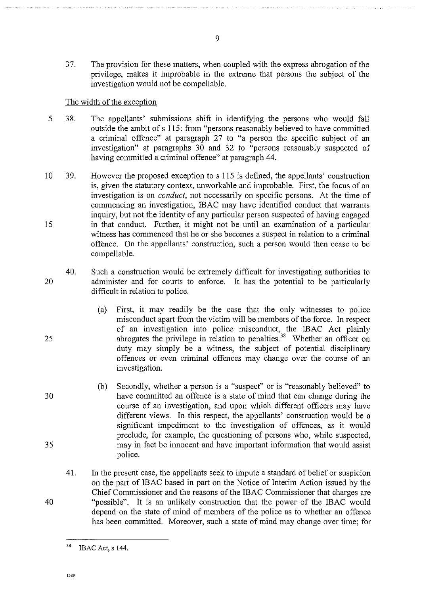37. The provision for these matters, when coupled with the express abrogation of the privilege, makes it improbable in the extreme that persons the subject of the investigation would not be compellable.

### The width of the exception

- 5 38. The appellants' submissions shift in identifying the persons who would fall outside the ambit of s 115: from "persons reasonably believed to have committed a criminal offence" at paragraph 27 to "a person the specific subject of an investigation" at paragraphs 30 and 32 to "persons reasonably suspected of having committed a criminal offence" at paragraph 44.
- 10 15 39. However the proposed exception to s 115 is defined, the appellants' construction is, given the statutory context, unworkable and improbable. First, the focus of an investigation is on *conduct,* not necessarily on specific persons. At the time of commencing an investigation, IBAC may have identified conduct that warrants inquiry, but not the identity of any particular person suspected of having engaged in that conduct. Further, it might not be until an examination of a particular witness has commenced that he or she becomes a suspect in relation to a criminal offence. On the appellants' construction, such a person would then cease to be compellable.
- 20 40. Such a construction would be extremely difficult for investigating authorities to administer and for courts to enforce. It has the potential to be particularly difficult in relation to police.
	- (a) First, it may readily be the case that the only witnesses to police misconduct apart from the victim will be members of the force. In respect of an investigation into police misconduct, the IBAC Act plainly abrogates the privilege in relation to penalties.<sup>38</sup> Whether an officer on duty may simply be a witness, the subject of potential disciplinary offences or even criminal offences may change over the course of an investigation.
	- (b) Secondly, whether a person is a "suspect" or is "reasonably believed" to have committed an offence is a state of mind that can change during the course of an investigation, and upon which different officers may have different views. In this respect, the appellants' construction would be a significant impediment to the investigation of offences, as it would preclude, for example, the questioning of persons who, while suspected, may in fact be innocent and have important information that would assist police.
	- 41. In the present case, the appellants seek to impute a standard of belief or suspicion on the part of IBAC based in part on the Notice of Interim Action issued by the Chief Commissioner and the reasons of the IBAC Commissioner that charges are "possible". It is an unlikely construction that the power of the IBAC would depend on the state of mind of members of the police as to whether an offence has been committed. Moreover, such a state of mind may change over time; for

!589

25

30

35

40

<sup>38</sup>  IBAC Act, s 144.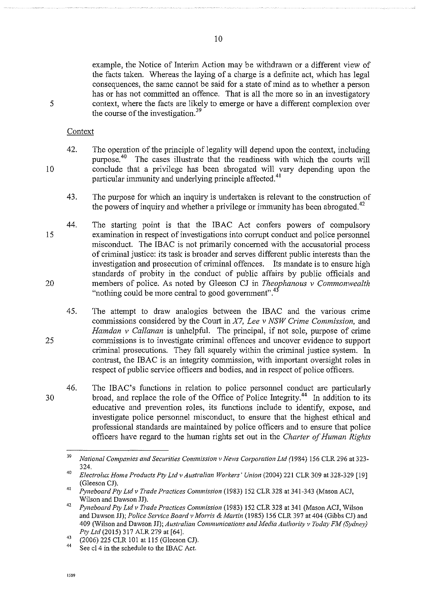example, the Notice of Interim Action may be withdrawn or a different view of the facts taken. Whereas the laying of a charge is a definite act, which has legal consequences, the same cannot be said for a state of mind as to whether a person has or has not committed an offence. That is all the more so in an investigatory context, where the facts are likely to emerge or have a different complexion over the course of the investigation.<sup>39</sup>

**Context** 

5

10

- 42. The operation of the principle of legality will depend upon the context, including purpose.<sup>40</sup> The cases illustrate that the readiness with which the courts will conclude that a privilege has been abrogated will vary depending upon the particular immunity and underlying principle affected.<sup>41</sup>
	- 43. The purpose for which an inquiry is undertaken is relevant to the construction of the powers of inquiry and whether a privilege or immunity has been abrogated.<sup>42</sup>
- 15 20 44. The starting point is that the IBAC Act confers powers of compulsory examination in respect of investigations into corrupt conduct and police personnel misconduct. The IBAC is not primarily concerned with the accusatorial process of criminal justice: its task is broader and serves different public interests than the investigation and prosecution of criminal offences. Its mandate is to ensure high standards of probity in the conduct of public affairs by public officials and members of police. As noted by Gleeson CJ in *Theophanous v Commonwealth*  "nothing could be more central to good government".<sup>43</sup>
	- 45. The attempt to draw analogies between the IBAC and the various crime commissions considered by the Court in *X7, Lee* v *NSW Crime Commission,* and *Hamdan v Callanan* is unhelpful. The principal, if not sole, purpose of crime commissions is to investigate criminal offences and uncover evidence to support criminal prosecutions. They fall squarely within the criminal justice system. In contrast, the IBAC is an integrity commission, with important oversight roles in respect of public service officers and bodies, and in respect of police officers.
	- 46. The IBAC's functions in relation to police personnel conduct are particularly broad, and replace the role of the Office of Police Integrity.<sup>44</sup> In addition to its educative and prevention roles, its functions include to identify, expose, and investigate police personnel misconduct, to ensure that the highest ethical and professional standards are maintained by police officers and to ensure that police officers have regard to the human rights set out in the *Charter of Human Rights*

**1589** 

10

30

<sup>&</sup>lt;sup>39</sup> National Companies and Securities Commission v News Corporation Ltd (1984) 156 CLR 296 at 323-324. 40 *Electrolux Home Products Pty Ltd v Australian Workers" Union* (2004) 221 CLR 309 at 328-329 [19]

<sup>(</sup>Gleeson CJ). 41 *Pyneboard Pty Ltd v Trade Practices Commission* (1983) 152 CLR 328 at 341-343 (Mason ACJ,

Wilson and Dawson JJ). 42 *Pyneboard Pty Ltd v Trade Practices Commission* (1983) 152 CLR 328 at 341 (Mason ACJ, Wilson and Dawson JJ); *Police Sen•ice Board v Morris* & *Martin* (1985) 156 CLR 397 at 404 (Gibbs CJ) and 409 (Wilson and Dawson JJ); *Australian Communications and Media Authority v Today FM (Sydney) Pty Ltd* (2015) 317 ALR 279 at [64].

 $^{43}$  (2006) 225 CLR 101 at 115 (Gleeson CJ).<br> $^{44}$  See cl 4 in the schedule to the IBAC Act.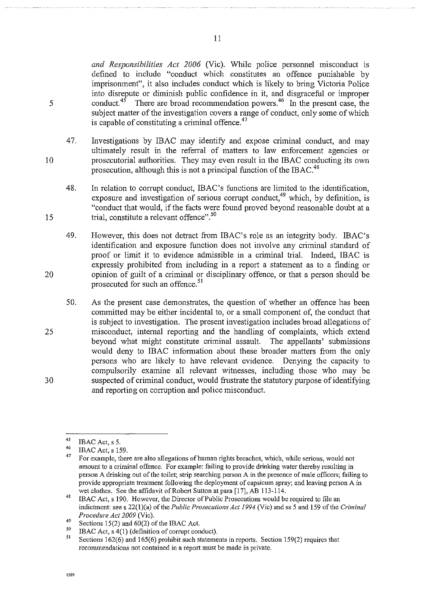*and Responsibilities Act 2006* (Vic). While police personnel misconduct is defined to include "conduct which constitutes an offence punishable by imprisomnent", it also includes conduct which is likely to bring Victoria Police into disrepute or diminish public confidence in it, and disgraceful or improper conduct.<sup>45</sup> There are broad recommendation powers.<sup>46</sup> In the present case, the subject matter of the investigation covers a range of conduct, only some of which is capable of constituting a criminal offence. $47$ 

- 47. Investigations by IBAC may identify and expose criminal conduct, and may ultimately result in the referral of matters to law enforcement agencies or prosecutorial authorities. They may even result in the IBAC conducting its own prosecution, although this is not a principal function of the IBAC.<sup>48</sup>
- 48. In relation to corrupt conduct, IBAC's functions are limited to the identification, exposure and investigation of serious corrupt conduct,<sup>49</sup> which, by definition, is "conduct that would, if the facts were found proved beyond reasonable doubt at a trial, constitute a relevant offence".<sup>50</sup>
- 49. However, this does not detract from IBAC's role as an integrity body. IBAC's identification and exposure function does not involve any criminal standard of proof or limit it to evidence admissible in a criminal trial. Indeed, IBAC is expressly prohibited from including in a report a statement as to a finding or opinion of guilt of a criminal or disciplinary offence, or that a person should be prosecuted for such an offence.<sup>51</sup>
- 50. As the present case demonstrates, the question of whether an offence has been committed may be either incidental to, or a small component of, the conduct that is subject to investigation. The present investigation includes broad allegations of misconduct, internal reporting and the handling of complaints, which extend beyond what might constitute criminal assault. The appellants' submissions would deny to IBAC information about these broader matters from the only persons who are likely to have relevant evidence. Denying the capacity to compulsorily examine all relevant witnesses, including those who may be suspected of criminal conduct, would frustrate the statutory purpose of identifying and reporting on corruption and police misconduct.

5

10

15

20

25

<sup>45</sup> 

<sup>&</sup>lt;sup>45</sup> IBAC Act, s 5.<br><sup>46</sup> IBAC Act, s 159.<br><sup>47</sup> For example, there are also allegations of human rights breaches, which, while serious, would not **amount to a criminal offence. For example: failing to provide drinking water thereby resulting in person A drinking out of the toilet; strip searching person A in the presence of male officers; failing to**  provide appropriate treatment following the deployment of capsicum spray; and leaving person A in wet clothes. See the affidavit of Robert Sutton at para [17], AB 113-114.

<sup>48</sup>  IBAC Act, s 190. However, the Director of Public Prosecutions would be required to file an indictment: sees 22(l)(a) of the *Public Prosecutions Act 1994* (Vic) and ss 5 and 159 of the *Criminal Procedure Act 2009* (Vic).

<sup>49</sup> 

<sup>&</sup>lt;sup>49</sup> Sections 15(2) and 60(2) of the IBAC Act.<br><sup>50</sup> IBAC Act, s 4(1) (definition of corrupt conduct).<br><sup>51</sup> Sections 162(6) and 165(6) multiply used at them.

Sections 162(6) and 165(6) prohibit such statements in reports. Section 159(2) requires that **recommendations not contained in a report must be made in private.**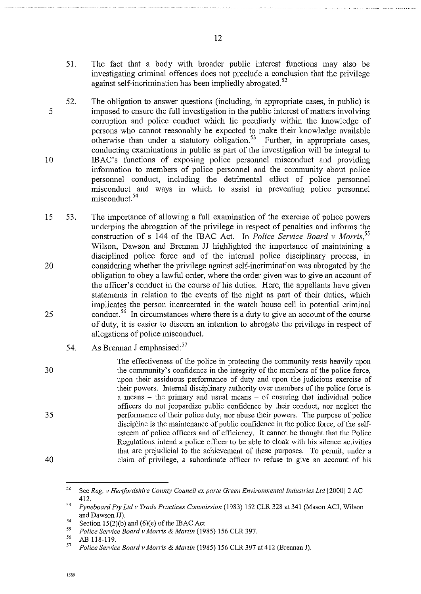- 51. The fact that a body with broader public interest functions may also be investigating criminal offences does not preclude a conclusion that the privilege against self-incrimination has been impliedly abrogated. 52
- 5 10 52. The obligation to answer questions (including, in appropriate cases, in public) is imposed to ensure the full investigation in the public interest of matters involving corruption and police conduct which lie peculiarly within the knowledge of persons who cannot reasonably be expected to make their knowledge available otherwise than under a statutory obligation.<sup>53</sup> Further, in appropriate cases, conducting examinations in public as part of the investigation will be integral to IBAC's functions of exposing police personnel misconduct and providing information to members of police personnel and the community about police personnel conduct, including the detrimental effect of police personnel misconduct and ways in which to assist in preventing police personnel misconduct.<sup>54</sup>
- 15 20 25 53. The importance of allowing a full examination of the exercise of police powers underpins the abrogation of the privilege in respect of penalties and infonns the construction of s 144 of the IBAC Act. In *Police Service Board v Morris, <sup>55</sup>* Wilson, Dawson and Brennan JJ highlighted the importance of maintaining a disciplined police force and of the intemal police disciplinary process, in considering whether the privilege against self-incrimination was abrogated by the obligation to obey a lawful order, where the order given was to give an account of the officer's conduct in the course of his duties. Here, the appellants have given statements in relation to the events of the night as part of their duties, which implicates the person incarcerated in the watch house cell in potential criminal conduct.<sup>56</sup> In circumstances where there is a duty to give an account of the course of duty, it is easier to discem an intention to abrogate the privilege in respect of allegations of police misconduct.
	- 54. As Brennan J emphasised: $57$ 
		- The effectiveness of the police in protecting the community rests heavily upon the community's confidence in the integrity of the members of the police force, upon their assiduous performance of duty and upon the judicious exercise of their powers. Intemal disciplinary authority over members of the police force is a means – the primary and usual means – of ensuring that individual police officers do not jeopardize public confidence by their conduct, nor neglect the performance of their police duty, nor abuse their powers. The purpose of police discipline is the maintenance of public confidence in the police force, of the selfesteem of police officers and of efficiency. It cannot be thought that the Police Regulations intend a police officer to be able to cloak with his silence activities that are prejudicial to the achievement of these purposes. To permit, under a claim of privilege, a subordinate officer to refuse to give an account of his

30

35

<sup>52</sup>  See *Reg. v Hertfordshire County Council ex parte Green Environmental Industries Ltd* [2000] 2 AC 412. 53 *Pyneboard Pty Ltd v Trade Practices Commission* (1983) !52 CLR 328 at 341 (Mason ACJ, Wilson

and Dawson JJ).<br>54 Section 15(2)(b) and (6)(e) of the IBAC Act<br>55 Police Service Board v Morris & Martin (1985) 156 CLR 397.

*<sup>55</sup> Police Service Board v Morris* & *Martin* (1985) !56 CLR 397. 56 AB 118-119. 57 *Police Service Board v Morris &Martin* (1985) !56 CLR 397 at 412 (Brennan J).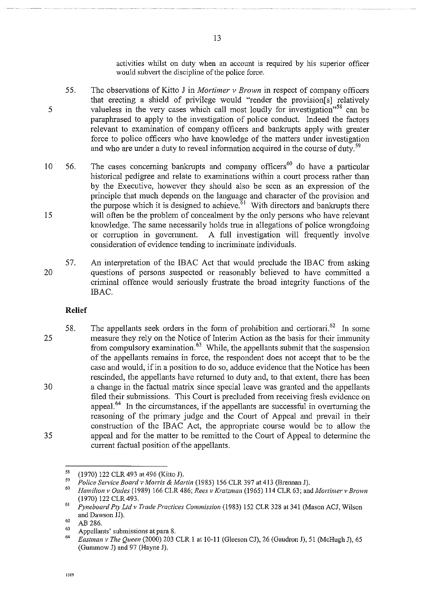activities whilst on duty when an account is required by his superior officer would subvert the discipline of the police force.

- 55. The observations of Kitto J in *Mortimer v Brown* in respect of company officers that erecting a shield of privilege would "render the provision[s] relatively valueless in the very cases which call most loudly for investigation"<sup>58</sup> can be paraphrased to apply to the investigation of police conduct. Indeed the factors relevant to examination of company officers and bankrupts apply with greater force to police officers who have knowledge of the matters under investigation and who are under a duty to reveal information acquired in the course of duty.<sup>59</sup>
- 10 15 56. The cases concerning bankrupts and company officers<sup>60</sup> do have a particular historical pedigree and relate to examinations within a court process rather than by the Executive, however they should also be seen as an expression of the principle that much depends on the language and character of the provision and the purpose which it is designed to achieve.<sup>61</sup> With directors and bankrupts there will often be the problem of concealment by the only persons who have relevant knowledge. The same necessarily holds true in allegations of police wrongdoing or corruption in govermnent. A full investigation will frequently involve consideration of evidence tending to incriminate individuals.
- 20 57. An interpretation of the IBAC Act that would preclude the IBAC from asking questions of persons suspected or reasonably believed to have committed a criminal offence would seriously frustrate the broad integrity functions of the IBAC.

#### **Relief**

25 30 35 58. The appellants seek orders in the form of prohibition and certiorari.<sup>62</sup> In some measure they rely on the Notice of Interim Action as the basis for their immunity from compulsory examination.<sup>63</sup> While, the appellants submit that the suspension of the appellants remains in force, the respondent does not accept that to be the case and would, if in a position to do so, adduce evidence that the Notice has been rescinded, the appellants have returned to duty and, to that extent, there has been a change in the factual matrix since special leave was granted and the appellants filed their submissions. This Court is precluded from receiving fresh evidence on appeal 64 In the circumstances, if the appellants are successful in overturning the reasoning of the primary judge and the Court of Appeal and prevail in their construction of the IBAC Act, the appropriate course would be to allow the appeal and for the matter to be remitted to the Court of Appeal to determine the current factual position of the appellants.

**!589** 

<sup>5</sup>S

<sup>&</sup>lt;sup>58</sup> (1970) 122 CLR 493 at 496 (Kitto J).<br><sup>59</sup> Police Service Board v Morris & Martin (1985) 156 CLR 397 at 413 (Brennan J).<br><sup>60</sup> Hamilton v Oades (1989) 166 CLR 486; Rees v Kratzman (1965) 114 CLR 63; and Mortimer v Brow

 $(1970)$  122 CLR 493.

*Pyneboard Pty Ltd v Trade Practices Commission* (1983) !52 CLR 328 at 341 (Mason ACJ, Wilson and Dawson JJ).

<sup>62</sup>  AB 286.

<sup>63</sup> 

<sup>&</sup>lt;sup>63</sup> Appellants' submissions at para 8.<br><sup>64</sup> *Eastman v The Queen* (2000) 203 CLR 1 at 10-11 (Gleeson CJ), 26 (Gaudron J), 51 (McHugh J), 65 (Gummow J) and 97 (Hayne J).